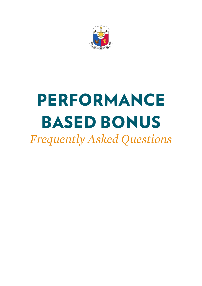

# Performance Based Bonus

*Frequently Asked Questions*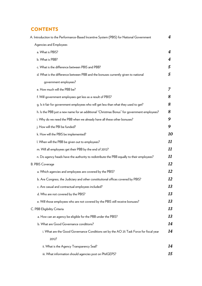# **CONTENTS**

| A. Introduction to the Performance-Based Incentive System (PBIS) for National Government    | 4  |
|---------------------------------------------------------------------------------------------|----|
| Agencies and Employees                                                                      |    |
| a. What is PBIS?                                                                            | 4  |
| b. What is PBB?                                                                             | 4  |
| c. What is the difference between PBIS and PBB?                                             | 5  |
| d. What is the difference between PBB and the bonuses currently given to national           | 5  |
| government employees?                                                                       |    |
| e. How much will the PBB be?                                                                | 7  |
| f. Will government employees get less as a result of PBIS?                                  | 8  |
| g. Is it fair for government employees who will get less than what they used to get?        | 8  |
| h. Is the PBB just a new name for an additional "Christmas Bonus" for government employees? | 8  |
| i. Why do we need the PBB when we already have all these other bonuses?                     | 9  |
| j. How will the PBI be funded?                                                              | 9  |
| k. How will the PBIS be implemented?                                                        | 10 |
| I. When will the PBB be given out to employees?                                             | 11 |
| m. Will all employees get their PBB by the end of 2012?                                     | 11 |
| n. Do agency heads have the authority to redistribute the PBB equally to their employees?   | 11 |
| <b>B. PBIS Coverage</b>                                                                     | 12 |
| a. Which agencies and employees are covered by the PBIS?                                    | 12 |
| b. Are Congress, the Judiciary and other constitutional offices covered by PBIS?            | 12 |
| c. Are casual and contractual employees included?                                           | 13 |
| d. Who are not covered by the PBIS?                                                         | 13 |
| e. Will those employees who are not covered by the PBIS still receive bonuses?              | 13 |
| C. PBB Eligibility Criteria                                                                 | 13 |
| a. How can an agency be eligible for the PBB under the PBIS?                                | 13 |
| b. What are Good Governance conditions?                                                     | 14 |
| i. What are the Good Governance Conditions set by the AO 25 Task Force for fiscal year      | 14 |
| 2012?                                                                                       |    |
| ii. What is the Agency Transparency Seal?                                                   | 14 |
| iii. What information should agencies post on PhilGEPS?                                     | 15 |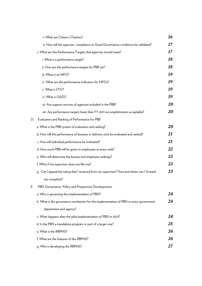|    | v. What are Citizen's Charters?                                                            | 16 |
|----|--------------------------------------------------------------------------------------------|----|
|    | vi. How will the agencies' compliance to Good Governance conditions be validated?          | 17 |
|    | c. What are the Performance Targets that agencies should meet?                             | 17 |
|    | i. What is a performance target?                                                           | 18 |
|    | ii. How are the performance targets for PBB set?                                           | 18 |
|    | iii. What is an MFO?                                                                       | 19 |
|    | iv. What are the performance indicators for MFOs?                                          | 19 |
|    | v. What is STO?                                                                            | 19 |
|    | vi. What is GASS?                                                                          | 19 |
|    | vii. Are support services of agencies included in the PBB?                                 | 20 |
|    | viii. Are performance targets lower than FY 2011 accomplishments acceptable?               | 20 |
| D. | Evaluation and Ranking of Performance for PBB                                              |    |
|    | a. What is the PBB system of evaluation and ranking?                                       | 20 |
|    | b. How will the performance of bureaus or delivery units be evaluated and ranked?          | 21 |
|    | c. How will individual performance be evaluated?                                           | 21 |
|    | d. How much PBB will be given to employees at every rank?                                  | 22 |
|    | e. Who will determine the bureau and employee rankings?                                    | 23 |
|    | f. What if my supervisor does not like me?                                                 | 23 |
|    | g. Can I appeal the rating that I received from my supervisor? How and where can I forward | 23 |
|    | my complaint?                                                                              |    |
| E. | PBIS Governance, Policy and Prospective Developments                                       |    |
|    | a. Who is governing the implementation of PBIS?                                            | 24 |
|    | b. What is the governance mechanism for the implementation of PBIS in every government     | 24 |
|    | department and agency?                                                                     |    |
|    | c. What happens after the pilot implementation of PBIS in 2012?                            | 24 |
|    | d. Is the PBIS a standalone program or part of a larger one?                               | 25 |
|    | e. What is the RBPMS?                                                                      | 26 |
|    | f. What are the features of the RBPMS?                                                     | 26 |
|    | g. Who is developing the RBPMS?                                                            | 27 |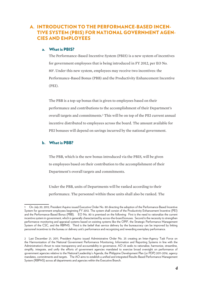# A. Introduction to the Performance-Based Incentive System (PBIS) for National Government Agencies and Employees

## a. What is PBIS?

The Performance-Based Incentive System (PBIS) is a new system of incentives for government employees that is being introduced in FY 2012, per EO No. 801 . Under this new system, employees may receive two incentives: the Performance-Based Bonus (PBB) and the Productivity Enhancement Incentive (PEI).

The PBB is a top-up bonus that is given to employees based on their performance and contributions to the accomplishment of their Department's overall targets and commitments.<sup>2</sup> This will be on top of the PEI current annual incentive distributed to employees across the board. The amount available for PEI bonuses will depend on savings incurred by the national government.

## b. What is PBB?

The PBB, which is the new bonus introduced via the PBIS, will be given to employees based on their contribution to the accomplishment of their Department's overall targets and commitments.

Under the PBB, units of Departments will be ranked according to their performance. The personnel within these units shall also be ranked. The

<sup>1</sup> On July 20, 2012, President Aquino issued Executive Order No. 80 directing the adoption of the Performance-Based Incentive System for government employees beginning FY 2012. The system shall consist of the Productivity Enhancement Incentive (PEI) and the Performance-Based Bonus (PBB). EO No. 80 is premised on the following: First is the need to rationalize the current incentive system in government, which is generally characterized by across-the-board bonuses. Second is the necessity to strengthen performance monitoring and appraisal systems based on existing systems like the OPIF, the Strategic Performance Management System of the CSC, and the RBPMS. Third is the belief that service delivery by the bureaucracy can be improved by linking personnel incentives to the bureau or delivery unit's performance and recognizing and rewarding exemplary performance.

<sup>2</sup> Last December 21, 2011, President Aquino issued Administrative Order No. 25 creating an Inter-Agency Task Force on the Harmonization of the National Government Performance Monitoring, Information and Reporting Systems in line with the Administration's thrust to raise transparency and accountability in governance. AO 25 seeks to rationalize, harmonize, streamline, simplify, integrate, and unify the efforts of government agencies mandated to exercise broad oversight on performance of government agencies relative to the National Leadership's Agenda, the Philippine Development Plan (or PDP) 2011-2016, agency mandates, commitments and targets. The AO aims to establish a unified and integrated Results-Based Performance Management System (RBPMS) across all departments and agencies within the Executive Branch.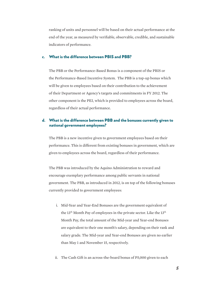ranking of units and personnel will be based on their actual performance at the end of the year, as measured by verifiable, observable, credible, and sustainable indicators of performance.

## c. What is the difference between PBIS and PBB?

The PBB or the Performance-Based Bonus is a component of the PBIS or the Performance-Based Incentive System. The PBB is a top-up bonus which will be given to employees based on their contribution to the achievement of their Department or Agency's targets and commitments in FY 2012. The other component is the PEI, which is provided to employees across the board, regardless of their actual performance.

## d. What is the difference between PBB and the bonuses currently given to national government employees?

The PBB is a new incentive given to government employees based on their performance. This is different from existing bonuses in government, which are given to employees across the board, regardless of their performance.

The PBB was introduced by the Aquino Administration to reward and encourage exemplary performance among public servants in national government. The PBB, as introduced in 2012, is on top of the following bonuses currently provided to government employees:

- i. Mid-Year and Year-End Bonuses are the government equivalent of the 13<sup>th</sup> Month Pay of employees in the private sector. Like the 13<sup>th</sup> Month Pay, the total amount of the Mid-year and Year-end Bonuses are equivalent to their one month's salary, depending on their rank and salary grade. The Mid-year and Year-end Bonuses are given no earlier than May 1 and November 15, respectively.
- ii. The Cash Gift is an across-the-board bonus of P5,000 given to each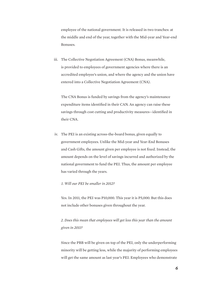employee of the national government. It is released in two tranches: at the middle and end of the year, together with the Mid-year and Year-end Bonuses.

iii. The Collective Negotiation Agreement (CNA) Bonus, meanwhile, is provided to employees of government agencies where there is an accredited employee's union, and where the agency and the union have entered into a Collective Negotiation Agreement (CNA).

The CNA Bonus is funded by savings from the agency's maintenance expenditure items identified in their CAN. An agency can raise these savings through cost cutting and productivity measures—identified in their CNA.

iv. The PEI is an existing across-the-board bonus, given equally to government employees. Unlike the Mid-year and Year-End Bonuses and Cash Gifts, the amount given per employee is not fixed. Instead, the amount depends on the level of savings incurred and authorized by the national government to fund the PEI. Thus, the amount per employee has varied through the years.

#### *1. Will our PEI be smaller in 2012?*

Yes. In 2011, the PEI was P10,000. This year it is P5,000. But this does not include other bonuses given throughout the year.

*2. Does this mean that employees will get less this year than the amount given in 2011?* 

Since the PBB will be given on top of the PEI, only the underperforming minority will be getting less, while the majority of performing employees will get the same amount as last year's PEI. Employees who demonstrate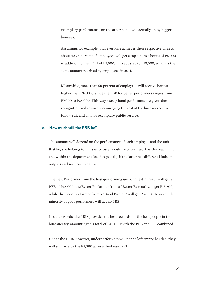exemplary performance, on the other hand, will actually enjoy bigger bonuses.

Assuming, for example, that everyone achieves their respective targets, about 42.25 percent of employees will get a top-up PBB bonus of P5,000 in addition to their PEI of P5,000. This adds up to P10,000, which is the same amount received by employees in 2011.

Meanwhile, more than 50 percent of employees will receive bonuses higher than P10,000, since the PBB for better performers ranges from P7,000 to P35,000. This way, exceptional performers are given due recognition and reward, encouraging the rest of the bureaucracy to follow suit and aim for exemplary public service.

## e. How much will the PBB be?

The amount will depend on the performance of each employee and the unit that he/she belongs to. This is to foster a culture of teamwork within each unit and within the department itself, especially if the latter has different kinds of outputs and services to deliver.

The Best Performer from the best-performing unit or "Best Bureau" will get a PBB of P35,000; the Better Performer from a "Better Bureau" will get P13,500; while the Good Performer from a "Good Bureau" will get P5,000. However, the minority of poor performers will get no PBB.

In other words, the PBIS provides the best rewards for the best people in the bureaucracy, amounting to a total of P40,000 with the PBB and PEI combined.

Under the PBIS, however, underperformers will not be left empty-handed: they will still receive the P5,000 across-the-board PEI.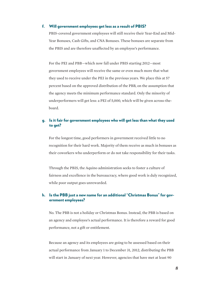## f. Will government employees get less as a result of PBIS?

PBIS-covered government employees will still receive their Year-End and Mid-Year Bonuses, Cash Gifts, and CNA Bonuses. These bonuses are separate from the PBIS and are therefore unaffected by an employee's performance.

For the PEI and PBB—which now fall under PBIS starting 2012—most government employees will receive the same or even much more that what they used to receive under the PEI in the previous years. We place this at 57 percent based on the approved distribution of the PBB, on the assumption that the agency meets the minimum performance standard. Only the minority of underperformers will get less: a PEI of 5,000, which will be given across-theboard.

## g. Is it fair for government employees who will get less than what they used to get?

For the longest time, good performers in government received little to no recognition for their hard work. Majority of them receive as much in bonuses as their coworkers who underperform or do not take responsibility for their tasks.

Through the PBIS, the Aquino administration seeks to foster a culture of fairness and excellence in the bureaucracy, where good work is duly recognized, while poor output goes unrewarded.

## h. Is the PBB just a new name for an additional "Christmas Bonus" for government employees?

No. The PBB is not a holiday or Christmas Bonus. Instead, the PBB is based on an agency and employee's actual performance. It is therefore a reward for good performance, not a gift or entitlement.

Because an agency and its employees are going to be assessed based on their actual performance from January 1 to December 31, 2012, distributing the PBB will start in January of next year. However, agencies that have met at least 90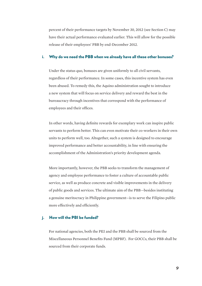percent of their performance targets by November 30, 2012 (see Section C) may have their actual performance evaluated earlier. This will allow for the possible release of their employees' PBB by end-December 2012.

#### i. Why do we need the PBB when we already have all these other bonuses?

Under the status quo, bonuses are given uniformly to all civil servants, regardless of their performance. In some cases, this incentive system has even been abused. To remedy this, the Aquino administration sought to introduce a new system that will focus on service delivery and reward the best in the bureaucracy through incentives that correspond with the performance of employees and their offices.

In other words, having definite rewards for exemplary work can inspire public servants to perform better. This can even motivate their co-workers in their own units to perform well, too. Altogether, such a system is designed to encourage improved performance and better accountability, in line with ensuring the accomplishment of the Administration's priority development agenda.

More importantly, however, the PBB seeks to transform the management of agency and employee performance to foster a culture of accountable public service, as well as produce concrete and visible improvements in the delivery of public goods and services. The ultimate aim of the PBB—besides instituting a genuine meritocracy in Philippine government—is to serve the Filipino public more effectively and efficiently.

## j. How will the PBI be funded?

For national agencies, both the PEI and the PBB shall be sourced from the Miscellaneous Personnel Benefits Fund (MPBF). For GOCCs, their PBB shall be sourced from their corporate funds.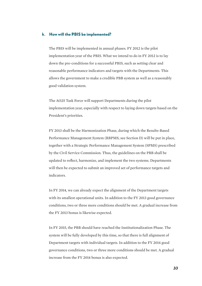## k. How will the PBIS be implemented?

The PBIS will be implemented in annual phases. FY 2012 is the pilot implementation year of the PBIS. What we intend to do in FY 2012 is to lay down the pre-conditions for a successful PBIS, such as setting clear and reasonable performance indicators and targets with the Departments. This allows the government to make a credible PBB system as well as a reasonably good validation system.

The AO25 Task Force will support Departments during the pilot implementation year, especially with respect to laying down targets based on the President's priorities.

FY 2013 shall be the Harmonization Phase, during which the Results-Based Performance Management System (RBPMS; see Section D) will be put in place, together with a Strategic Performance Management System (SPMS) prescribed by the Civil Service Commission. Thus, the guidelines on the PBB shall be updated to reflect, harmonize, and implement the two systems. Departments will then be expected to submit an improved set of performance targets and indicators.

In FY 2014, we can already expect the alignment of the Department targets with its smallest operational units. In addition to the FY 2013 good governance conditions, two or three more conditions should be met. A gradual increase from the FY 2013 bonus is likewise expected.

In FY 2015, the PBB should have reached the Institutionalization Phase. The system will be fully developed by this time, so that there is full alignment of Department targets with individual targets. In addition to the FY 2014 good governance conditions, two or three more conditions should be met. A gradual increase from the FY 2014 bonus is also expected.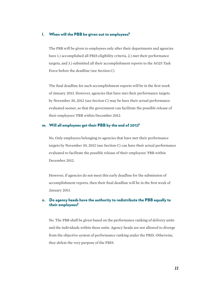## l. When will the PBB be given out to employees?

The PBB will be given to employees only after their departments and agencies have 1.) accomplished all PBIS eligibility criteria, 2.) met their performance targets, and 3.) submitted all their accomplishment reports to the AO25 Task Force before the deadline (see Section C).

The final deadline for such accomplishment reports will be in the first week of January 2013. However, agencies that have met their performance targets by November 30, 2012 (see Section C) may be have their actual performance evaluated sooner, so that the government can facilitate the possible release of their employees' PBB within December 2012.

## m. Will all employees get their PBB by the end of 2012?

No. Only employees belonging to agencies that have met their performance targets by November 30, 2012 (see Section C) can have their actual performance evaluated to facilitate the possible release of their employees' PBB within December 2012.

However, if agencies do not meet this early deadline for the submission of accomplishment reports, then their final deadline will be in the first week of January 2013.

## n. Do agency heads have the authority to redistribute the PBB equally to their employees?

No. The PBB shall be given based on the performance ranking of delivery units and the individuals within these units. Agency heads are not allowed to diverge from the objective system of performance ranking under the PBIS. Otherwise, they defeat the very purpose of the PBIS.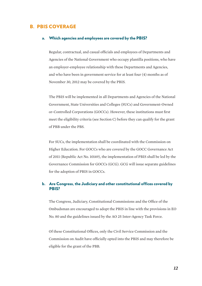## B. PBIS Coverage

#### a. Which agencies and employees are covered by the PBIS?

Regular, contractual, and casual officials and employees of Departments and Agencies of the National Government who occupy plantilla positions, who have an employer-employee relationship with these Departments and Agencies, and who have been in government service for at least four (4) months as of November 30, 2012 may be covered by the PBIS.

The PBIS will be implemented in all Departments and Agencies of the National Government, State Universities and Colleges (SUCs) and Government-Owned or-Controlled Corporations (GOCCs). However, these institutions must first meet the eligibility criteria (see Section C) before they can qualify for the grant of PBB under the PBS.

For SUCs, the implementation shall be coordinated with the Commission on Higher Education. For GOCCs who are covered by the GOCC Governance Act of 2011 (Republic Act No. 10149), the implementation of PBIS shall be led by the Governance Commission for GOCCs (GCG). GCG will issue separate guidelines for the adoption of PBIS in GOCCs.

## b. Are Congress, the Judiciary and other constitutional offices covered by PBIS?

The Congress, Judiciary, Constitutional Commissions and the Office of the Ombudsman are encouraged to adopt the PBIS in line with the provisions in EO No. 80 and the guidelines issued by the AO 25 Inter-Agency Task Force.

Of these Constitutional Offices, only the Civil Service Commission and the Commission on Audit have officially opted into the PBIS and may therefore be eligible for the grant of the PBB.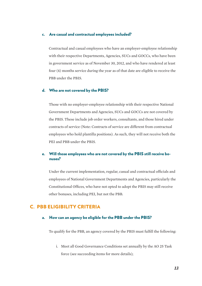## c. Are casual and contractual employees included?

Contractual and casual employees who have an employer-employee relationship with their respective Departments, Agencies, SUCs and GOCCs, who have been in government service as of November 30, 2012, and who have rendered at least four (4) months service during the year as of that date are eligible to receive the PBB under the PBIS.

#### d. Who are not covered by the PBIS?

Those with no employer-employee relationship with their respective National Government Departments and Agencies, SUCs and GOCCs are not covered by the PBIS. These include job order workers, consultants, and those hired under contracts of service (Note: Contracts of service are different from contractual employees who hold plantilla positions). As such, they will not receive both the PEI and PBB under the PBIS.

## e. Will those employees who are not covered by the PBIS still receive bonuses?

Under the current implementation, regular, casual and contractual officials and employees of National Government Departments and Agencies, particularly the Constitutional Offices, who have not opted to adopt the PBIS may still receive other bonuses, including PEI, but not the PBB.

# C. PBB ELIGIBILITY CRITERIA

## a. How can an agency be eligible for the PBB under the PBIS?

To qualify for the PBB, an agency covered by the PBIS must fulfill the following:

i. Meet all Good Governance Conditions set annually by the AO 25 Task force (see succeeding items for more details);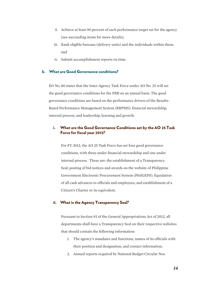- ii. Achieve at least 90 percent of each performance target set for the agency (see succeeding items for more details);
- iii. Rank eligible bureaus (delivery units) and the individuals within them; and
- iv. Submit accomplishment reports on time.

## b. What are Good Governance conditions?

EO No. 80 states that the Inter-Agency Task Force under AO No. 25 will set the good governance conditions for the PBB on an annual basis. The good governance conditions are based on the performance drivers of the Results-Based Performance Management System (RBPMS): financial stewardship, internal process, and leadership, learning and growth.

## i. What are the Good Governance Conditions set by the AO 25 Task Force for fiscal year 2012?

For FY 2012, the AO 25 Task Force has set four good governance conditions, with three under financial stewardship and one under internal process. These are: the establishment of a Transparency Seal; posting of bid notices and awards on the website of Philippine Government Electronic Procurement System (PhilGEPS); liquidation of all cash advances to officials and employees; and establishment of a Citizen's Charter or its equivalent.

## ii. What is the Agency Transparency Seal?

Pursuant to Section 93 of the General Appropriations Act of 2012, all departments shall have a Transparency Seal on their respective websites that should contain the following information:

- 1. The agency's mandates and functions, names of its officials with their position and designation, and contact information;
- 2. Annual reports required by National Budget Circular Nos.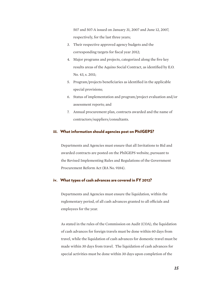507 and 507-A issued on January 31, 2007 and June 12, 2007, respectively, for the last three years;

- 3. Their respective approved agency budgets and the corresponding targets for fiscal year 2012;
- 4. Major programs and projects, categorized along the five key results areas of the Aquino Social Contract, as identified by E.O. No. 43, s. 2011;
- 5. Program/projects beneficiaries as identified in the applicable special provisions;
- 6. Status of implementation and program/project evaluation and/or assessment reports; and
- 7. Annual procurement plan, contracts awarded and the name of contractors/suppliers/consultants.

## iii. What information should agencies post on PhilGEPS?

Departments and Agencies must ensure that all Invitations to Bid and awarded contracts are posted on the PhilGEPS website, pursuant to the Revised Implementing Rules and Regulations of the Government Procurement Reform Act (RA No. 9184).

## iv. What types of cash advances are covered in FY 2012?

Departments and Agencies must ensure the liquidation, within the reglementary period, of all cash advances granted to all officials and employees for the year.

As stated in the rules of the Commission on Audit (COA), the liquidation of cash advances for foreign travels must be done within 60 days from travel, while the liquidation of cash advances for domestic travel must be made within 30 days from travel. The liquidation of cash advances for special activities must be done within 30 days upon completion of the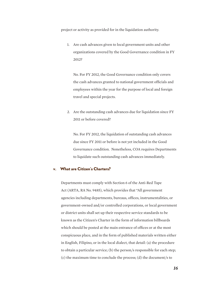project or activity as provided for in the liquidation authority.

1. Are cash advances given to local government units and other organizations covered by the Good Governance condition in FY 2012?

No. For FY 2012, the Good Governance condition only covers the cash advances granted to national government officials and employees within the year for the purpose of local and foreign travel and special projects.

2. Are the outstanding cash advances due for liquidation since FY 2011 or before covered?

No. For FY 2012, the liquidation of outstanding cash advances due since FY 2011 or before is not yet included in the Good Governance condition. Nonetheless, COA requires Departments to liquidate such outstanding cash advances immediately.

## v. What are Citizen's Charters?

Departments must comply with Section 6 of the Anti-Red Tape Act (ARTA, RA No. 9485), which provides that "All government agencies including departments, bureaus, offices, instrumentalities, or government-owned and/or controlled corporations, or local government or district units shall set up their respective service standards to be known as the Citizen's Charter in the form of information billboards which should be posted at the main entrance of offices or at the most conspicuous place, and in the form of published materials written either in English, Filipino, or in the local dialect, that detail: (a) the procedure to obtain a particular service; (b) the person/s responsible for each step; (c) the maximum time to conclude the process; (d) the document/s to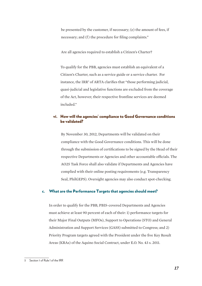be presented by the customer, if necessary; (e) the amount of fees, if necessary; and (f) the procedure for filing complaints."

Are all agencies required to establish a Citizen's Charter?

To qualify for the PBB, agencies must establish an equivalent of a Citizen's Charter, such as a service guide or a service charter. For instance, the IRR<sup>3</sup> of ARTA clarifies that "those performing judicial, quasi-judicial and legislative functions are excluded from the coverage of the Act, however, their respective frontline services are deemed included."

## vi. How will the agencies' compliance to Good Governance conditions be validated?

By November 30, 2012, Departments will be validated on their compliance with the Good Governance conditions. This will be done through the submission of certifications to be signed by the Head of their respective Departments or Agencies and other accountable officials. The AO25 Task Force shall also validate if Departments and Agencies have complied with their online posting requirements (e.g. Transparency Seal, PhilGEPS). Oversight agencies may also conduct spot-checking.

## c. What are the Performance Targets that agencies should meet?

In order to qualify for the PBB, PBIS-covered Departments and Agencies must achieve at least 90 percent of each of their: 1) performance targets for their Major Final Outputs (MFOs), Support to Operations (STO) and General Administration and Support Services (GASS) submitted to Congress; and 2) Priority Program targets agreed with the President under the five Key Result Areas (KRAs) of the Aquino Social Contract, under E.O. No. 43 s. 2011.

<sup>3</sup> Section 1 of Rule I of the IRR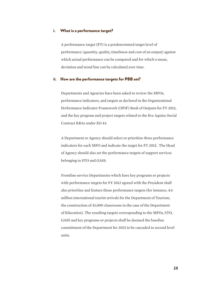## i. What is a performance target?

A performance target (PT) is a predetermined target level of performance (quantity, quality, timeliness and cost of an output) against which actual performance can be compared and for which a mean, deviation and trend line can be calculated over time.

#### ii. How are the performance targets for PBB set?

Departments and Agencies have been asked to review the MFOs, performance indicators, and targets as declared in the Organizational Performance Indicator Framework (OPIF) Book of Outputs for FY 2012, and the key program and project targets related to the five Aquino Social Contract KRAs under EO 43.

A Department or Agency should select or prioritize three performance indicators for each MFO and indicate the target for FY 2012. The Head of Agency should also set the performance targets of support services belonging to STO and GASS.

Frontline service Departments which have key programs or projects with performance targets for FY 2012 agreed with the President shall also prioritize and feature those performance targets (for instance, 4.6 million international tourist arrivals for the Department of Tourism; the construction of 41,000 classrooms in the case of the Department of Education). The resulting targets corresponding to the MFOs, STO, GASS and key programs or projects shall be deemed the baseline commitment of the Department for 2012 to be cascaded to second level units.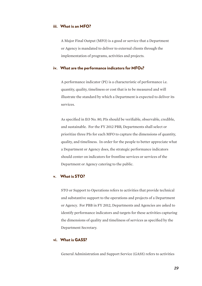## iii. What is an MFO?

A Major Final Output (MFO) is a good or service that a Department or Agency is mandated to deliver to external clients through the implementation of programs, activities and projects.

## iv. What are the performance indicators for MFOs?

A performance indicator (PI) is a characteristic of performance i.e. quantity, quality, timeliness or cost that is to be measured and will illustrate the standard by which a Department is expected to deliver its services.

As specified in EO No. 80, PIs should be verifiable, observable, credible, and sustainable. For the FY 2012 PBB, Departments shall select or prioritize three PIs for each MFO to capture the dimensions of quantity, quality, and timeliness. In order for the people to better appreciate what a Department or Agency does, the strategic performance indicators should center on indicators for frontline services or services of the Department or Agency catering to the public.

## v. What is STO?

STO or Support to Operations refers to activities that provide technical and substantive support to the operations and projects of a Department or Agency. For PBB in FY 2012, Departments and Agencies are asked to identify performance indicators and targets for these activities capturing the dimensions of quality and timeliness of services as specified by the Department Secretary.

## vi. What is GASS?

General Administration and Support Service (GASS) refers to activities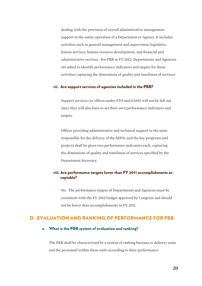dealing with the provision of overall administrative management support to the entire operation of a Department or Agency. It includes activities such as general management and supervision, legislative liaison services, human resource development, and financial and administrative services. For PBB in FY 2012, Departments and Agencies are asked to identify performance indicators and targets for these activities capturing the dimensions of quality and timeliness of services.

#### vii. Are support services of agencies included in the PBB?

Support services (or offices under STO and GASS) will not be left out since they will also have to set their own performance indicators and targets.

Offices providing administrative and technical support to the units responsible for the delivery of the MFOs and the key programs and projects shall be given two performance indicators each, capturing the dimensions of quality and timeliness of services specified by the Department Secretary.

## viii. Are performance targets lower than FY 2011 accomplishments acceptable?

No. The performance targets of Departments and Agencies must be consistent with the FY 2012 budget approved by Congress and should not be lower than accomplishments in FY 2011.

# D. Evaluation and Ranking of Performance for PBB

## a. What is the PBB system of evaluation and ranking?

The PBB shall be characterized by a system of ranking bureaus or delivery units and the personnel within these units according to their performance.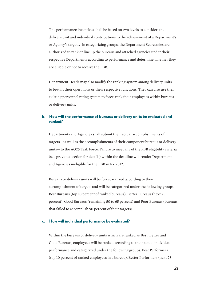The performance incentives shall be based on two levels to consider: the delivery unit and individual contributions to the achievement of a Department's or Agency's targets. In categorizing groups, the Department Secretaries are authorized to rank or line up the bureaus and attached agencies under their respective Departments according to performance and determine whether they are eligible or not to receive the PBB.

Department Heads may also modify the ranking system among delivery units to best fit their operations or their respective functions. They can also use their existing personnel rating system to force-rank their employees within bureaus or delivery units.

## b. How will the performance of bureaus or delivery units be evaluated and ranked?

Departments and Agencies shall submit their actual accomplishments of targets—as well as the accomplishments of their component bureaus or delivery units— to the AO25 Task Force. Failure to meet any of the PBB eligibility criteria (see previous section for details) within the deadline will render Departments and Agencies ineligible for the PBB in FY 2012.

Bureaus or delivery units will be forced-ranked according to their accomplishment of targets and will be categorized under the following groups: Best Bureaus (top 10 percent of ranked bureaus), Better Bureaus (next 25 percent), Good Bureaus (remaining 50 to 65 percent) and Poor Bureaus (bureaus that failed to accomplish 90 percent of their targets).

#### c. How will individual performance be evaluated?

Within the bureaus or delivery units which are ranked as Best, Better and Good Bureaus, employees will be ranked according to their actual individual performance and categorized under the following groups: Best Performers (top 10 percent of ranked employees in a bureau), Better Performers (next 25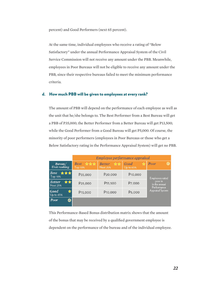percent) and Good Performers (next 65 percent).

At the same time, individual employees who receive a rating of "Below Satisfactory" under the annual Performance Appraisal System of the Civil Service Commission will not receive any amount under the PBB. Meanwhile, employees in Poor Bureaus will not be eligible to receive any amount under the PBB, since their respective bureaus failed to meet the minimum performance criteria.

## d. How much PBB will be given to employees at every rank?

The amount of PBB will depend on the performance of each employee as well as the unit that he/she belongs to. The Best Performer from a Best Bureau will get a PBB of P35,000; the Better Performer from a Better Bureau will get P13,500; while the Good Performer from a Good Bureau will get P5,000. Of course, the minority of poor performers (employees in Poor Bureaus or those who get a Below Satisfactory rating in the Performance Appraisal System) will get no PBB.

|                                        | Employee performance appraisal                                    |                                        |                        |                                                                                              |  |
|----------------------------------------|-------------------------------------------------------------------|----------------------------------------|------------------------|----------------------------------------------------------------------------------------------|--|
| Bureau/<br>Unit ranking                | Best $\hat{\mathbf{x}} \times \hat{\mathbf{x}}$<br><b>Top 10%</b> | ☆☆<br><b>Better</b><br><b>Next 25%</b> | Good<br>☆<br>Up to 65% | 0<br>Poor                                                                                    |  |
| Best <b>***</b><br>Top 10%             | P35,000                                                           | P <sub>20</sub> ,000                   | P <sub>10</sub> ,000   | <b>Employees rated</b><br>poor in<br>in the annual<br>Performance<br><b>Appraisal System</b> |  |
| ★★<br><b>Better</b><br><b>Next 25%</b> | P <sub>25</sub> ,000                                              | P <sub>13</sub> ,500                   | P7,000                 |                                                                                              |  |
| Good<br>✿<br>Up to 65%                 | P <sub>15</sub> ,000                                              | P <sub>10</sub> ,000                   | P5,000                 |                                                                                              |  |
| Poor<br>0                              |                                                                   |                                        |                        |                                                                                              |  |

This Performance-Based Bonus distribution matrix shows that the amount of the bonus that may be received by a qualified government employee is dependent on the performance of the bureau and of the individual employee.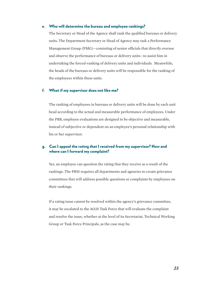#### e. Who will determine the bureau and employee rankings?

The Secretary or Head of the Agency shall rank the qualified bureaus or delivery units. The Department Secretary or Head of Agency may task a Performance Management Group (PMG)—consisting of senior officials that directly oversee and observe the performance of bureaus or delivery units—to assist him in undertaking the forced-ranking of delivery units and individuals. Meanwhile, the heads of the bureaus or delivery units will be responsible for the ranking of the employees within these units.

## f. What if my supervisor does not like me?

The ranking of employees in bureaus or delivery units will be done by each unit head according to the actual and measurable performance of employees. Under the PBB, employee evaluations are designed to be objective and measurable, instead of subjective or dependent on an employee's personal relationship with his or her supervisor.

## g. Can I appeal the rating that I received from my supervisor? How and where can I forward my complaint?

Yes, an employee can question the rating that they receive as a result of the rankings. The PBIS requires all departments and agencies to create grievance committees that will address possible questions or complaints by employees on their rankings.

If a rating issue cannot be resolved within the agency's grievance committee, it may be escalated to the AO25 Task Force that will evaluate the complaint and resolve the issue, whether at the level of its Secretariat, Technical Working Group or Task Force Principals, as the case may be.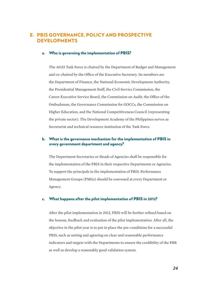# E. PBIS Governance, Policy and Prospective **DEVELOPMENTS**

## a. Who is governing the implementation of PBIS?

The AO25 Task Force is chaired by the Department of Budget and Management and co-chaired by the Office of the Executive Secretary. Its members are the Department of Finance, the National Economic Development Authority, the Presidential Management Staff, the Civil Service Commission, the Career Executive Service Board, the Commission on Audit, the Office of the Ombudsman, the Governance Commission for GOCCs, the Commission on Higher Education, and the National Competitiveness Council (representing the private sector). The Development Academy of the Philippines serves as Secretariat and technical resource institution of the Task Force.

## b. What is the governance mechanism for the implementation of PBIS in every government department and agency?

The Department Secretaries or Heads of Agencies shall be responsible for the implementation of the PBIS in their respective Departments or Agencies. To support the principals in the implementation of PBIS, Performance Management Groups (PMGs) should be convened at every Department or Agency.

#### c. What happens after the pilot implementation of PBIS in 2012?

After the pilot implementation in 2012, PBIS will be further refined based on the lessons, feedback and evaluation of the pilot implementation. After all, the objective in the pilot year is to put in place the pre-conditions for a successful PBIS, such as setting and agreeing on clear and reasonable performance indicators and targets with the Departments to ensure the credibility of the PBB as well as develop a reasonably good validation system.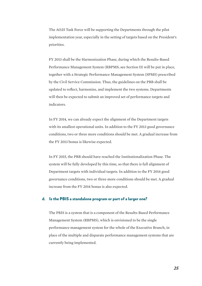The AO25 Task Force will be supporting the Departments through the pilot implementation year, especially in the setting of targets based on the President's priorities.

FY 2013 shall be the Harmonization Phase, during which the Results-Based Performance Management System (RBPMS; see Section D) will be put in place, together with a Strategic Performance Management System (SPMS) prescribed by the Civil Service Commission. Thus, the guidelines on the PBB shall be updated to reflect, harmonize, and implement the two systems. Departments will then be expected to submit an improved set of performance targets and indicators.

In FY 2014, we can already expect the alignment of the Department targets with its smallest operational units. In addition to the FY 2013 good governance conditions, two or three more conditions should be met. A gradual increase from the FY 2013 bonus is likewise expected.

In FY 2015, the PBB should have reached the Institutionalization Phase. The system will be fully developed by this time, so that there is full alignment of Department targets with individual targets. In addition to the FY 2014 good governance conditions, two or three more conditions should be met. A gradual increase from the FY 2014 bonus is also expected.

## d. Is the PBIS a standalone program or part of a larger one?

The PBIS is a system that is a component of the Results-Based Performance Management System (RBPMS), which is envisioned to be the single performance management system for the whole of the Executive Branch, in place of the multiple and disparate performance management systems that are currently being implemented.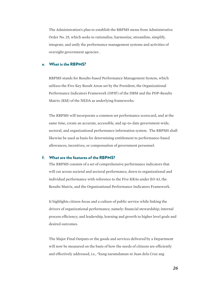The Administration's plan to establish the RBPMS stems from Administrative Order No. 25, which seeks to rationalize, harmonize, streamline, simplify, integrate, and unify the performance management systems and activities of oversight government agencies .

## e. What is the RBPMS?

RBPMS stands for Results-based Performance Management System, which utilizes the Five Key Result Areas set by the President, the Organizational Performance Indicators Framework (OPIF) of the DBM and the PDP-Results Matrix (RM) of the NEDA as underlying frameworks.

The RBPMS will incorporate a common set performance scorecard, and at the same time, create an accurate, accessible, and up-to-date government-wide, sectoral, and organizational performance information system. The RBPMS shall likewise be used as basis for determining entitlement to performance-based allowances, incentives, or compensation of government personnel.

#### f. What are the features of the RBPMS?

The RBPMS consists of a set of comprehensive performance indicators that will cut across societal and sectoral performance, down to organizational and individual performance with reference to the Five KRAs under EO 43, the Results Matrix, and the Organizational Performance Indicators Framework.

It highlights citizen-focus and a culture of public service while linking the drivers of organizational performance, namely: financial stewardship; internal process efficiency; and leadership, learning and growth to higher level goals and desired outcomes.

The Major Final Outputs or the goods and services delivered by a Department will now be measured on the basis of how the needs of citizens are efficiently and effectively addressed, i.e., "kung naramdaman ni Juan dela Cruz ang